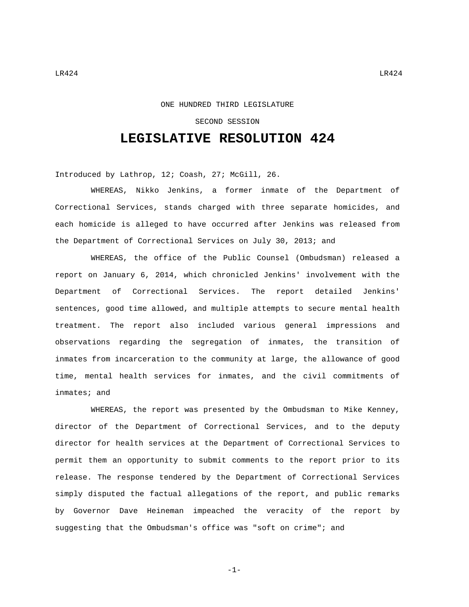## ONE HUNDRED THIRD LEGISLATURE

## SECOND SESSION

## **LEGISLATIVE RESOLUTION 424**

Introduced by Lathrop, 12; Coash, 27; McGill, 26.

WHEREAS, Nikko Jenkins, a former inmate of the Department of Correctional Services, stands charged with three separate homicides, and each homicide is alleged to have occurred after Jenkins was released from the Department of Correctional Services on July 30, 2013; and

WHEREAS, the office of the Public Counsel (Ombudsman) released a report on January 6, 2014, which chronicled Jenkins' involvement with the Department of Correctional Services. The report detailed Jenkins' sentences, good time allowed, and multiple attempts to secure mental health treatment. The report also included various general impressions and observations regarding the segregation of inmates, the transition of inmates from incarceration to the community at large, the allowance of good time, mental health services for inmates, and the civil commitments of inmates; and

WHEREAS, the report was presented by the Ombudsman to Mike Kenney, director of the Department of Correctional Services, and to the deputy director for health services at the Department of Correctional Services to permit them an opportunity to submit comments to the report prior to its release. The response tendered by the Department of Correctional Services simply disputed the factual allegations of the report, and public remarks by Governor Dave Heineman impeached the veracity of the report by suggesting that the Ombudsman's office was "soft on crime"; and

$$
= 1 -
$$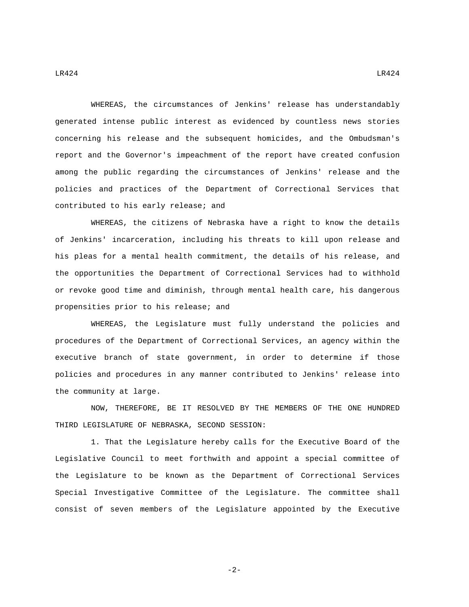WHEREAS, the circumstances of Jenkins' release has understandably generated intense public interest as evidenced by countless news stories concerning his release and the subsequent homicides, and the Ombudsman's report and the Governor's impeachment of the report have created confusion among the public regarding the circumstances of Jenkins' release and the policies and practices of the Department of Correctional Services that contributed to his early release; and

WHEREAS, the citizens of Nebraska have a right to know the details of Jenkins' incarceration, including his threats to kill upon release and his pleas for a mental health commitment, the details of his release, and the opportunities the Department of Correctional Services had to withhold or revoke good time and diminish, through mental health care, his dangerous propensities prior to his release; and

WHEREAS, the Legislature must fully understand the policies and procedures of the Department of Correctional Services, an agency within the executive branch of state government, in order to determine if those policies and procedures in any manner contributed to Jenkins' release into the community at large.

NOW, THEREFORE, BE IT RESOLVED BY THE MEMBERS OF THE ONE HUNDRED THIRD LEGISLATURE OF NEBRASKA, SECOND SESSION:

1. That the Legislature hereby calls for the Executive Board of the Legislative Council to meet forthwith and appoint a special committee of the Legislature to be known as the Department of Correctional Services Special Investigative Committee of the Legislature. The committee shall consist of seven members of the Legislature appointed by the Executive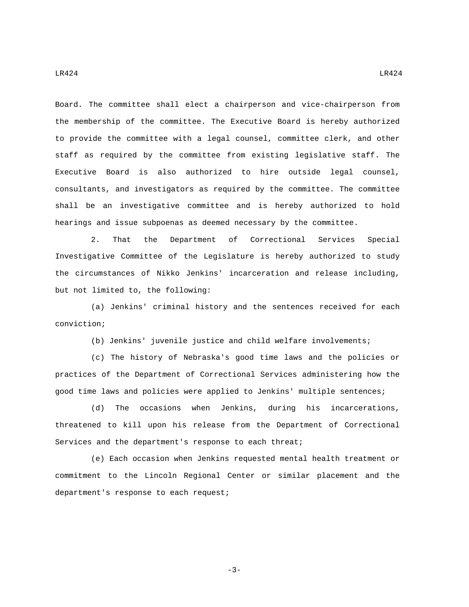Board. The committee shall elect a chairperson and vice-chairperson from the membership of the committee. The Executive Board is hereby authorized to provide the committee with a legal counsel, committee clerk, and other staff as required by the committee from existing legislative staff. The Executive Board is also authorized to hire outside legal counsel, consultants, and investigators as required by the committee. The committee shall be an investigative committee and is hereby authorized to hold hearings and issue subpoenas as deemed necessary by the committee.

2. That the Department of Correctional Services Special Investigative Committee of the Legislature is hereby authorized to study the circumstances of Nikko Jenkins' incarceration and release including, but not limited to, the following:

(a) Jenkins' criminal history and the sentences received for each conviction;

(b) Jenkins' juvenile justice and child welfare involvements;

(c) The history of Nebraska's good time laws and the policies or practices of the Department of Correctional Services administering how the good time laws and policies were applied to Jenkins' multiple sentences;

(d) The occasions when Jenkins, during his incarcerations, threatened to kill upon his release from the Department of Correctional Services and the department's response to each threat;

(e) Each occasion when Jenkins requested mental health treatment or commitment to the Lincoln Regional Center or similar placement and the department's response to each request;

-3-